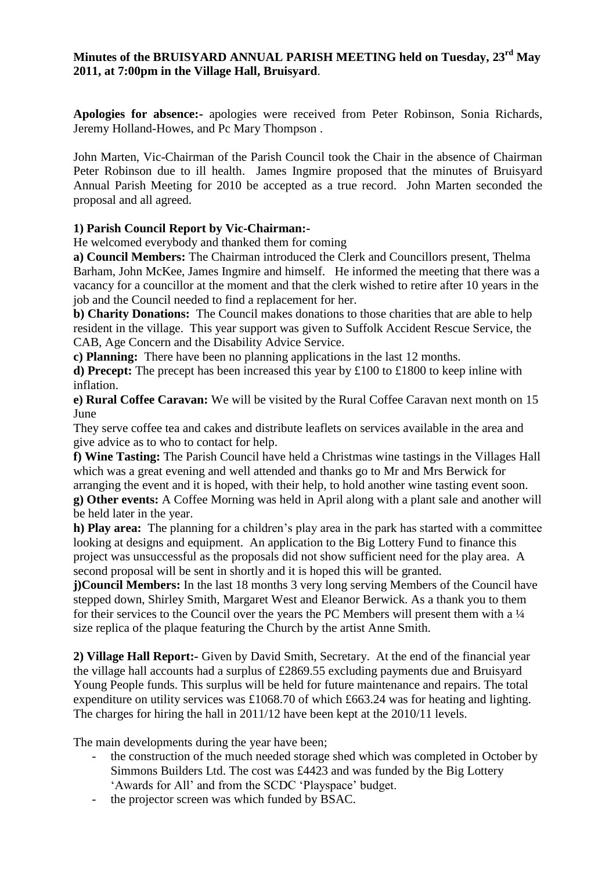# **Minutes of the BRUISYARD ANNUAL PARISH MEETING held on Tuesday, 23rd May 2011, at 7:00pm in the Village Hall, Bruisyard**.

**Apologies for absence:-** apologies were received from Peter Robinson, Sonia Richards, Jeremy Holland-Howes, and Pc Mary Thompson .

John Marten, Vic-Chairman of the Parish Council took the Chair in the absence of Chairman Peter Robinson due to ill health. James Ingmire proposed that the minutes of Bruisyard Annual Parish Meeting for 2010 be accepted as a true record. John Marten seconded the proposal and all agreed.

# **1) Parish Council Report by Vic-Chairman:-**

He welcomed everybody and thanked them for coming

**a) Council Members:** The Chairman introduced the Clerk and Councillors present, Thelma Barham, John McKee, James Ingmire and himself.He informed the meeting that there was a vacancy for a councillor at the moment and that the clerk wished to retire after 10 years in the job and the Council needed to find a replacement for her.

**b) Charity Donations:** The Council makes donations to those charities that are able to help resident in the village. This year support was given to Suffolk Accident Rescue Service, the CAB, Age Concern and the Disability Advice Service.

**c) Planning:** There have been no planning applications in the last 12 months.

**d) Precept:** The precept has been increased this year by £100 to £1800 to keep inline with inflation.

**e) Rural Coffee Caravan:** We will be visited by the Rural Coffee Caravan next month on 15 June

They serve coffee tea and cakes and distribute leaflets on services available in the area and give advice as to who to contact for help.

**f) Wine Tasting:** The Parish Council have held a Christmas wine tastings in the Villages Hall which was a great evening and well attended and thanks go to Mr and Mrs Berwick for arranging the event and it is hoped, with their help, to hold another wine tasting event soon.

**g) Other events:** A Coffee Morning was held in April along with a plant sale and another will be held later in the year.

**h) Play area:** The planning for a children's play area in the park has started with a committee looking at designs and equipment. An application to the Big Lottery Fund to finance this project was unsuccessful as the proposals did not show sufficient need for the play area. A second proposal will be sent in shortly and it is hoped this will be granted.

**j)Council Members:** In the last 18 months 3 very long serving Members of the Council have stepped down, Shirley Smith, Margaret West and Eleanor Berwick. As a thank you to them for their services to the Council over the years the PC Members will present them with a  $\frac{1}{4}$ size replica of the plaque featuring the Church by the artist Anne Smith.

**2) Village Hall Report:-** Given by David Smith, Secretary. At the end of the financial year the village hall accounts had a surplus of £2869.55 excluding payments due and Bruisyard Young People funds. This surplus will be held for future maintenance and repairs. The total expenditure on utility services was £1068.70 of which £663.24 was for heating and lighting. The charges for hiring the hall in 2011/12 have been kept at the 2010/11 levels.

The main developments during the year have been;

- the construction of the much needed storage shed which was completed in October by Simmons Builders Ltd. The cost was £4423 and was funded by the Big Lottery 'Awards for All' and from the SCDC 'Playspace' budget.
- the projector screen was which funded by BSAC.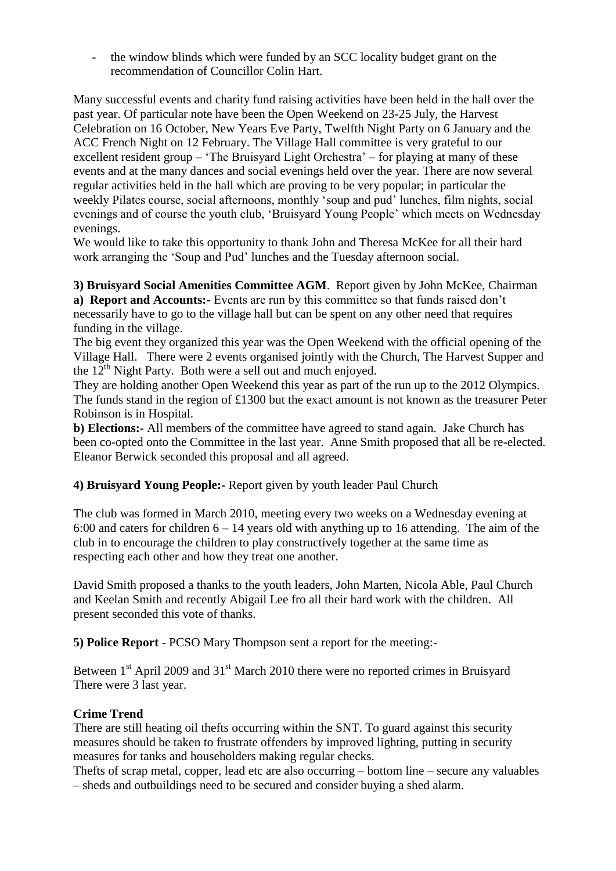- the window blinds which were funded by an SCC locality budget grant on the recommendation of Councillor Colin Hart.

Many successful events and charity fund raising activities have been held in the hall over the past year. Of particular note have been the Open Weekend on 23-25 July, the Harvest Celebration on 16 October, New Years Eve Party, Twelfth Night Party on 6 January and the ACC French Night on 12 February. The Village Hall committee is very grateful to our excellent resident group – 'The Bruisyard Light Orchestra' – for playing at many of these events and at the many dances and social evenings held over the year. There are now several regular activities held in the hall which are proving to be very popular; in particular the weekly Pilates course, social afternoons, monthly 'soup and pud' lunches, film nights, social evenings and of course the youth club, 'Bruisyard Young People' which meets on Wednesday evenings.

We would like to take this opportunity to thank John and Theresa McKee for all their hard work arranging the 'Soup and Pud' lunches and the Tuesday afternoon social.

**3) Bruisyard Social Amenities Committee AGM**. Report given by John McKee, Chairman **a) Report and Accounts:-** Events are run by this committee so that funds raised don't necessarily have to go to the village hall but can be spent on any other need that requires funding in the village.

The big event they organized this year was the Open Weekend with the official opening of the Village Hall. There were 2 events organised jointly with the Church, The Harvest Supper and the  $12<sup>th</sup>$  Night Party. Both were a sell out and much enjoyed.

They are holding another Open Weekend this year as part of the run up to the 2012 Olympics. The funds stand in the region of £1300 but the exact amount is not known as the treasurer Peter Robinson is in Hospital.

**b) Elections:-** All members of the committee have agreed to stand again. Jake Church has been co-opted onto the Committee in the last year. Anne Smith proposed that all be re-elected. Eleanor Berwick seconded this proposal and all agreed.

# **4) Bruisyard Young People:-** Report given by youth leader Paul Church

The club was formed in March 2010, meeting every two weeks on a Wednesday evening at 6:00 and caters for children  $6 - 14$  years old with anything up to 16 attending. The aim of the club in to encourage the children to play constructively together at the same time as respecting each other and how they treat one another.

David Smith proposed a thanks to the youth leaders, John Marten, Nicola Able, Paul Church and Keelan Smith and recently Abigail Lee fro all their hard work with the children. All present seconded this vote of thanks.

**5) Police Report** - PCSO Mary Thompson sent a report for the meeting:-

Between 1<sup>st</sup> April 2009 and 31<sup>st</sup> March 2010 there were no reported crimes in Bruisyard There were 3 last year.

#### **Crime Trend**

There are still heating oil thefts occurring within the SNT. To guard against this security measures should be taken to frustrate offenders by improved lighting, putting in security measures for tanks and householders making regular checks.

Thefts of scrap metal, copper, lead etc are also occurring – bottom line – secure any valuables – sheds and outbuildings need to be secured and consider buying a shed alarm.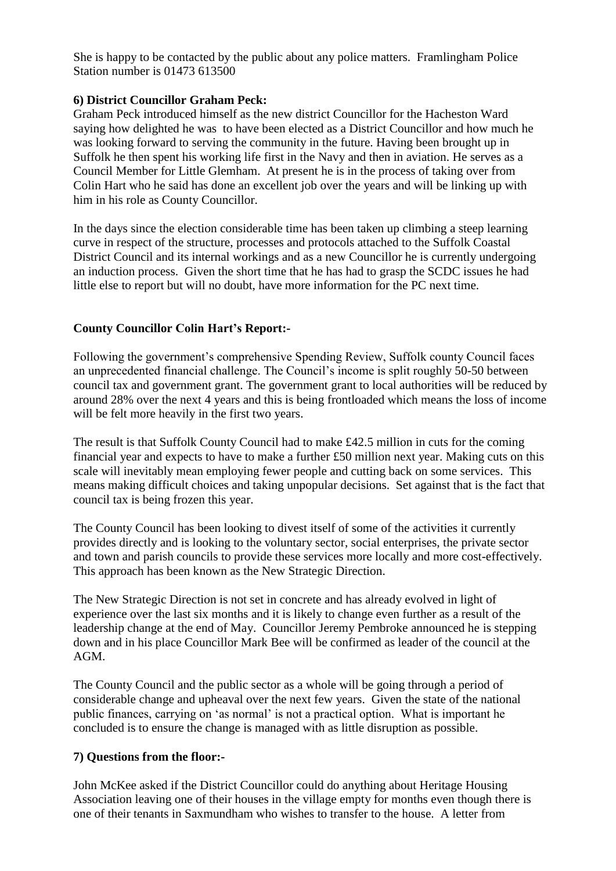She is happy to be contacted by the public about any police matters. Framlingham Police Station number is 01473 613500

### **6) District Councillor Graham Peck:**

Graham Peck introduced himself as the new district Councillor for the Hacheston Ward saying how delighted he was to have been elected as a District Councillor and how much he was looking forward to serving the community in the future. Having been brought up in Suffolk he then spent his working life first in the Navy and then in aviation. He serves as a Council Member for Little Glemham. At present he is in the process of taking over from Colin Hart who he said has done an excellent job over the years and will be linking up with him in his role as County Councillor.

In the days since the election considerable time has been taken up climbing a steep learning curve in respect of the structure, processes and protocols attached to the Suffolk Coastal District Council and its internal workings and as a new Councillor he is currently undergoing an induction process. Given the short time that he has had to grasp the SCDC issues he had little else to report but will no doubt, have more information for the PC next time.

# **County Councillor Colin Hart's Report:-**

Following the government's comprehensive Spending Review, Suffolk county Council faces an unprecedented financial challenge. The Council's income is split roughly 50-50 between council tax and government grant. The government grant to local authorities will be reduced by around 28% over the next 4 years and this is being frontloaded which means the loss of income will be felt more heavily in the first two years.

The result is that Suffolk County Council had to make £42.5 million in cuts for the coming financial year and expects to have to make a further £50 million next year. Making cuts on this scale will inevitably mean employing fewer people and cutting back on some services. This means making difficult choices and taking unpopular decisions. Set against that is the fact that council tax is being frozen this year.

The County Council has been looking to divest itself of some of the activities it currently provides directly and is looking to the voluntary sector, social enterprises, the private sector and town and parish councils to provide these services more locally and more cost-effectively. This approach has been known as the New Strategic Direction.

The New Strategic Direction is not set in concrete and has already evolved in light of experience over the last six months and it is likely to change even further as a result of the leadership change at the end of May. Councillor Jeremy Pembroke announced he is stepping down and in his place Councillor Mark Bee will be confirmed as leader of the council at the AGM.

The County Council and the public sector as a whole will be going through a period of considerable change and upheaval over the next few years. Given the state of the national public finances, carrying on 'as normal' is not a practical option. What is important he concluded is to ensure the change is managed with as little disruption as possible.

# **7) Questions from the floor:-**

John McKee asked if the District Councillor could do anything about Heritage Housing Association leaving one of their houses in the village empty for months even though there is one of their tenants in Saxmundham who wishes to transfer to the house. A letter from